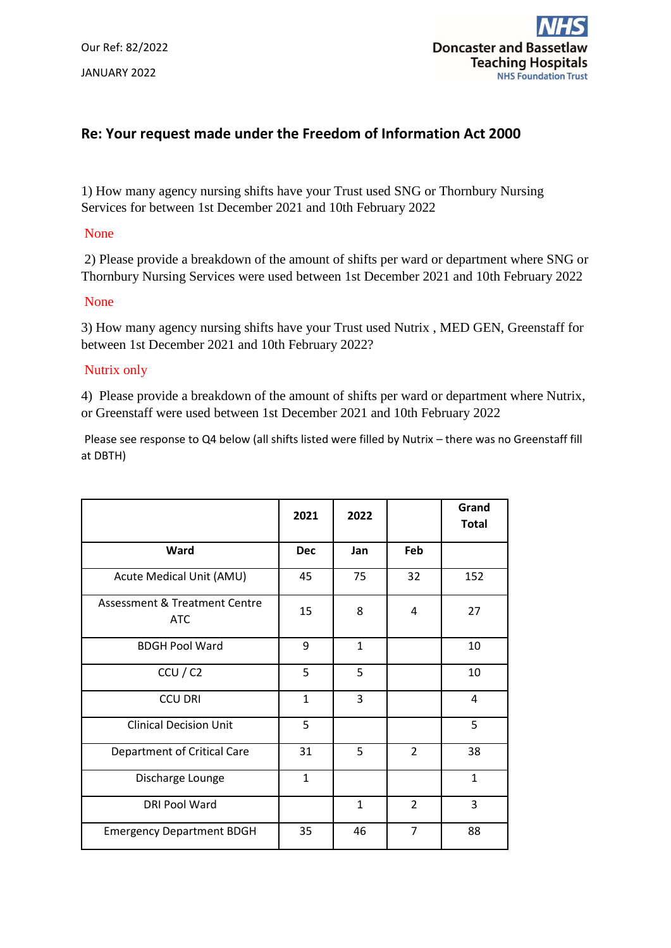

# **Re: Your request made under the Freedom of Information Act 2000**

1) How many agency nursing shifts have your Trust used SNG or Thornbury Nursing Services for between 1st December 2021 and 10th February 2022

## None

2) Please provide a breakdown of the amount of shifts per ward or department where SNG or Thornbury Nursing Services were used between 1st December 2021 and 10th February 2022

#### None

3) How many agency nursing shifts have your Trust used Nutrix , MED GEN, Greenstaff for between 1st December 2021 and 10th February 2022?

## Nutrix only

4) Please provide a breakdown of the amount of shifts per ward or department where Nutrix, or Greenstaff were used between 1st December 2021 and 10th February 2022

Please see response to Q4 below (all shifts listed were filled by Nutrix – there was no Greenstaff fill at DBTH)

|                                             | 2021         | 2022         |                | Grand<br><b>Total</b> |
|---------------------------------------------|--------------|--------------|----------------|-----------------------|
| Ward                                        | <b>Dec</b>   | Jan          | Feb            |                       |
| Acute Medical Unit (AMU)                    | 45           | 75           | 32             | 152                   |
| Assessment & Treatment Centre<br><b>ATC</b> | 15           | 8            | 4              | 27                    |
| <b>BDGH Pool Ward</b>                       | 9            | $\mathbf{1}$ |                | 10                    |
| CCU / C2                                    | 5            | 5            |                | 10                    |
| <b>CCU DRI</b>                              | $\mathbf{1}$ | 3            |                | 4                     |
| <b>Clinical Decision Unit</b>               | 5            |              |                | 5                     |
| <b>Department of Critical Care</b>          | 31           | 5            | $\overline{2}$ | 38                    |
| Discharge Lounge                            | $\mathbf{1}$ |              |                | $\mathbf{1}$          |
| <b>DRI Pool Ward</b>                        |              | $\mathbf{1}$ | $\overline{2}$ | 3                     |
| <b>Emergency Department BDGH</b>            | 35           | 46           | $\overline{7}$ | 88                    |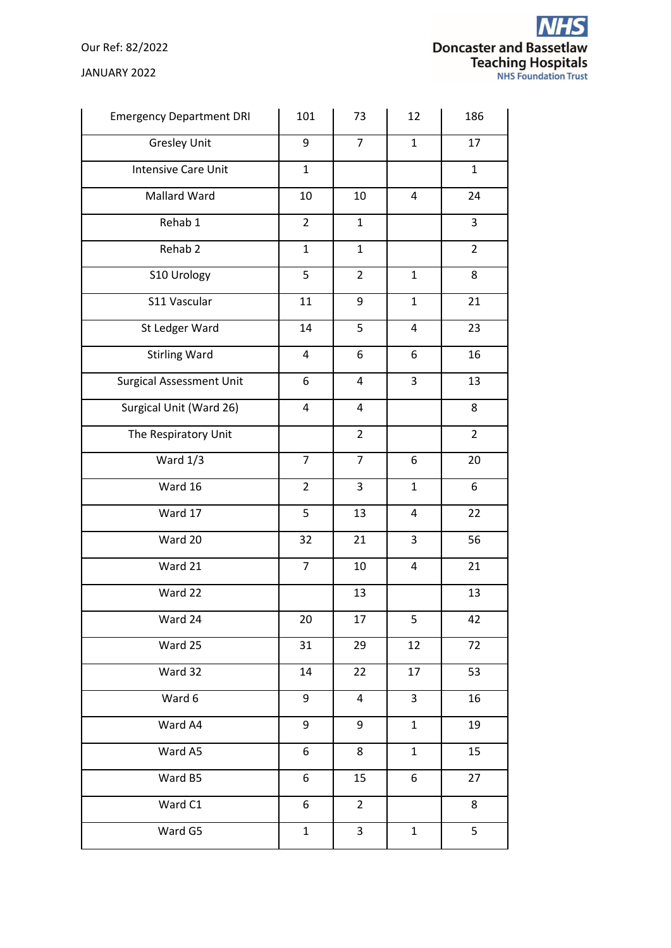Our Ref: 82/2022

JANUARY 2022

| <b>Emergency Department DRI</b> | 101                     | 73                      | 12           | 186              |
|---------------------------------|-------------------------|-------------------------|--------------|------------------|
| <b>Gresley Unit</b>             | 9                       | $\overline{7}$          | $\mathbf{1}$ | 17               |
| Intensive Care Unit             | $\mathbf{1}$            |                         |              | $\mathbf{1}$     |
| Mallard Ward                    | 10                      | 10                      | 4            | 24               |
| Rehab 1                         | $\overline{2}$          | $\mathbf{1}$            |              | $\mathbf{3}$     |
| Rehab <sub>2</sub>              | $\mathbf{1}$            | $\mathbf{1}$            |              | $\overline{2}$   |
| S10 Urology                     | 5                       | $\overline{2}$          | $\mathbf 1$  | 8                |
| S11 Vascular                    | 11                      | 9                       | $\mathbf{1}$ | 21               |
| St Ledger Ward                  | 14                      | 5                       | 4            | 23               |
| <b>Stirling Ward</b>            | 4                       | 6                       | 6            | 16               |
| <b>Surgical Assessment Unit</b> | 6                       | $\pmb{4}$               | 3            | 13               |
| Surgical Unit (Ward 26)         | $\overline{\mathbf{4}}$ | $\overline{\mathbf{4}}$ |              | 8                |
| The Respiratory Unit            |                         | $\overline{2}$          |              | $\overline{2}$   |
| Ward 1/3                        | $\overline{7}$          | $\overline{7}$          | 6            | 20               |
| Ward 16                         | $\overline{2}$          | 3                       | $\mathbf{1}$ | $\boldsymbol{6}$ |
| Ward 17                         | 5                       | 13                      | 4            | 22               |
| Ward 20                         | 32                      | 21                      | 3            | 56               |
| Ward 21                         | $\overline{7}$          | 10                      | 4            | 21               |
| Ward 22                         |                         | 13                      |              | 13               |
| Ward 24                         | 20                      | 17                      | 5            | 42               |
| Ward 25                         | 31                      | 29                      | 12           | 72               |
| Ward 32                         | 14                      | 22                      | 17           | 53               |
| Ward 6                          | 9                       | $\overline{4}$          | 3            | 16               |
| Ward A4                         | 9                       | 9                       | $\mathbf{1}$ | 19               |
| Ward A5                         | 6                       | 8                       | $\mathbf{1}$ | 15               |
| Ward B5                         | 6                       | 15                      | 6            | 27               |
| Ward C1                         | 6                       | $\overline{2}$          |              | 8                |
| Ward G5                         | $\mathbf{1}$            | $\mathbf{3}$            | $\mathbf{1}$ | 5                |
|                                 |                         |                         |              |                  |